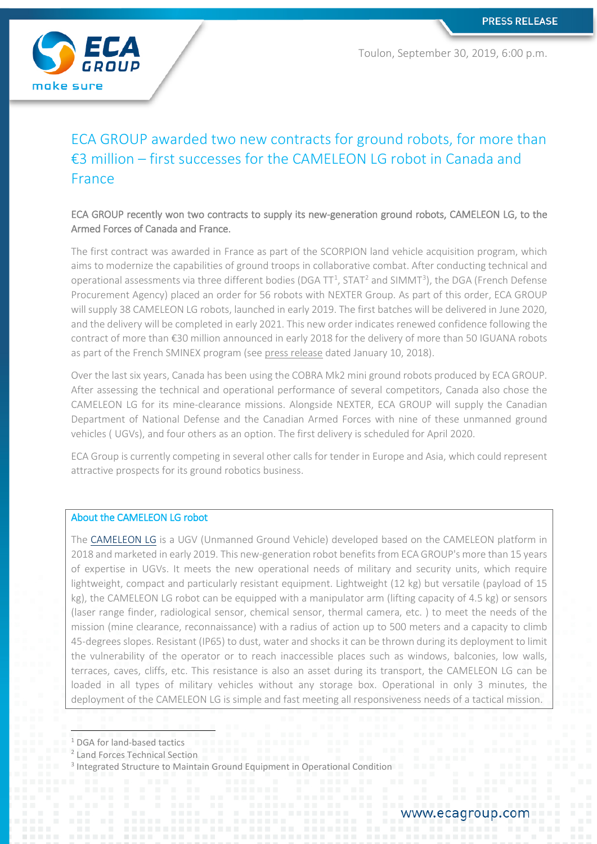

Toulon, September 30, 2019, 6:00 p.m.

# ECA GROUP awarded two new contracts for ground robots, for more than €3 million – first successes for the CAMELEON LG robot in Canada and France

# ECA GROUP recently won two contracts to supply its new-generation ground robots, CAMELEON LG, to the Armed Forces of Canada and France.

The first contract was awarded in France as part of the SCORPION land vehicle acquisition program, which aims to modernize the capabilities of ground troops in collaborative combat. After conducting technical and operational assessments via three different bodies (DGA  $TT<sup>1</sup>$  $TT<sup>1</sup>$  $TT<sup>1</sup>$ , STAT<sup>2</sup> and SIMMT<sup>[3](#page-0-2)</sup>), the DGA (French Defense Procurement Agency) placed an order for 56 robots with NEXTER Group. As part of this order, ECA GROUP will supply 38 CAMELEON LG robots, launched in early 2019. The first batches will be delivered in June 2020, and the delivery will be completed in early 2021. This new order indicates renewed confidence following the contract of more than €30 million announced in early 2018 for the delivery of more than 50 IGUANA robots as part of the French SMINEX program (see [press release](https://www.ecagroup.com/en/financial/over-30-meu-contract-eca-group-supply-unmanned-ground-vehicles-ugvs-french-ministry-armed) dated January 10, 2018).

Over the last six years, Canada has been using the COBRA Mk2 mini ground robots produced by ECA GROUP. After assessing the technical and operational performance of several competitors, Canada also chose the CAMELEON LG for its mine-clearance missions. Alongside NEXTER, ECA GROUP will supply the Canadian Department of National Defense and the Canadian Armed Forces with nine of these unmanned ground vehicles ( UGVs), and four others as an option. The first delivery is scheduled for April 2020.

ECA Group is currently competing in several other calls for tender in Europe and Asia, which could represent attractive prospects for its ground robotics business.

# About the CAMELEON LG robot

The [CAMELEON LG](https://www.ecagroup.com/en/solutions/cameleon-lg-e-ugv-unmanned-ground-vehicle) is a UGV (Unmanned Ground Vehicle) developed based on the CAMELEON platform in 2018 and marketed in early 2019. This new-generation robot benefits from ECA GROUP's more than 15 years of expertise in UGVs. It meets the new operational needs of military and security units, which require lightweight, compact and particularly resistant equipment. Lightweight (12 kg) but versatile (payload of 15 kg), the CAMELEON LG robot can be equipped with a manipulator arm (lifting capacity of 4.5 kg) or sensors (laser range finder, radiological sensor, chemical sensor, thermal camera, etc. ) to meet the needs of the mission (mine clearance, reconnaissance) with a radius of action up to 500 meters and a capacity to climb 45-degrees slopes. Resistant (IP65) to dust, water and shocks it can be thrown during its deployment to limit the vulnerability of the operator or to reach inaccessible places such as windows, balconies, low walls, terraces, caves, cliffs, etc. This resistance is also an asset during its transport, the CAMELEON LG can be loaded in all types of military vehicles without any storage box. Operational in only 3 minutes, the deployment of the CAMELEON LG is simple and fast meeting all responsiveness needs of a tactical mission.

<span id="page-0-0"></span> <sup>1</sup> DGA for land-based tactics

<span id="page-0-1"></span><sup>2</sup> Land Forces Technical Section

<span id="page-0-2"></span><sup>&</sup>lt;sup>3</sup> Integrated Structure to Maintain Ground Equipment in Operational Condition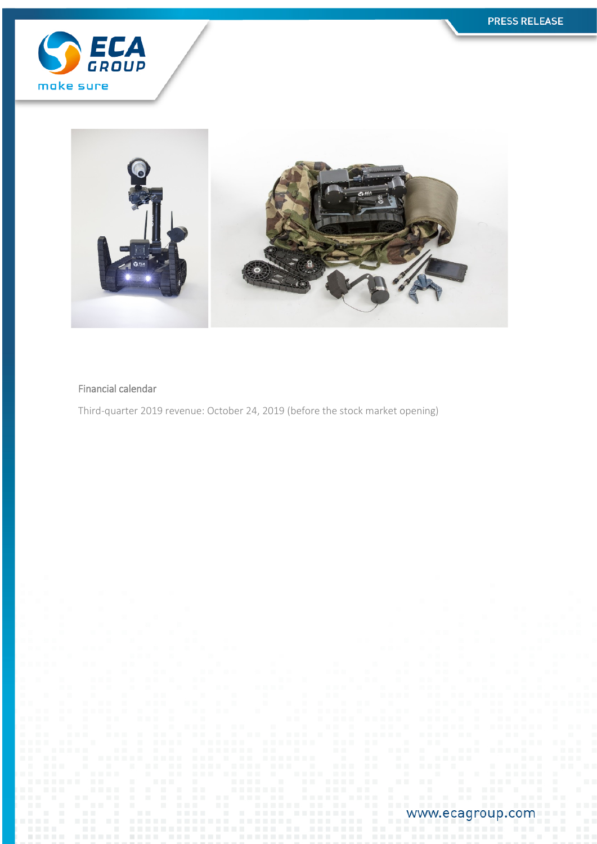



## Financial calendar

Third-quarter 2019 revenue: October 24, 2019 (before the stock market opening)